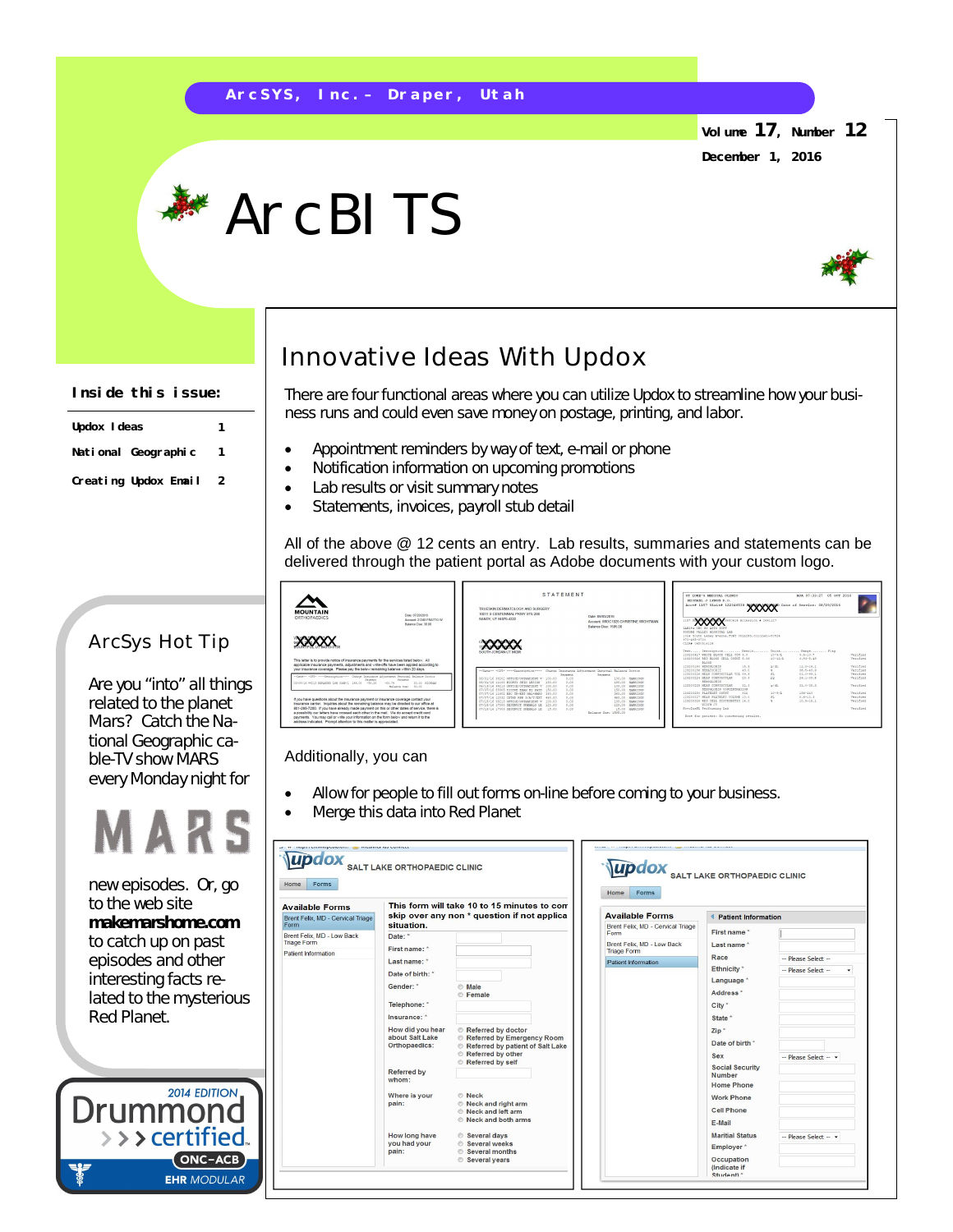## **A r c S Y S , I n c . – D r a p e r , U t a h**

**Volume 17, Number 12**

**December 1, 2016**

# **ArcBITS**



### **Inside this issue:**

| Updox I deas         |   |
|----------------------|---|
| National Geographic  | 1 |
| Creating Updox Email | 2 |

## ArcSys Hot Tip

Are you "into" all things related to the planet Mars? Catch the National Geographic cable-TV show MARS every Monday night for



new episodes. Or, go to the web site **makemarshome.com**  to catch up on past episodes and other interesting facts related to the mysterious Red Planet.

**2014 EDITION** Drummo  $\rightarrow$   $\rightarrow$  certified ONC-ACB **EHR MODULAR** 

# Innovative Ideas With Updox

There are four functional areas where you can utilize Updox to streamline how your business runs and could even save money on postage, printing, and labor.

- Appointment reminders by way of text, e-mail or phone
- Notification information on upcoming promotions
- Lab results or visit summary notes
- Statements, invoices, payroll stub detail

All of the above @ 12 cents an entry. Lab results, summaries and statements can be delivered through the patient portal as Adobe documents with your custom logo.

| <b>MOUNTAIN</b><br>Date: 07/20/2016<br>ORTHOPAEDICS<br>Arrows 21141 EDATED W<br>Balance Day: 30.00                                                                                                                                                                                                                                                                                                                                                                                                                                          | STATEMENT<br>TRUESKIN DERMATOLOGY AND SURGERY.<br>10011 S CENTENNIAL PKWY STE 200<br>Date: 08/03/2018<br>SANDY, UT 84070-4222<br>Account: WIGC1025 CHRISTINE WIGHTMAN<br>Balance Due: 1585.00                                                                                                                                                                                                                                                                     | 97 THEF'S MEDICAL CLINIC<br>MJA 07:33:27 05 0CT 2016<br>MICHAEL J. LYMCH D. O.<br>Acots 1157 Visits 122346538 XXXXXXX Date of Service: 08/29/2016<br>1157 FLANCAPAGNETISTIC Accession & 2641127<br>៱៱៱៱៱<br>taxing car mo anto news                                                                                                                                                                                                                                                       |
|---------------------------------------------------------------------------------------------------------------------------------------------------------------------------------------------------------------------------------------------------------------------------------------------------------------------------------------------------------------------------------------------------------------------------------------------------------------------------------------------------------------------------------------------|-------------------------------------------------------------------------------------------------------------------------------------------------------------------------------------------------------------------------------------------------------------------------------------------------------------------------------------------------------------------------------------------------------------------------------------------------------------------|-------------------------------------------------------------------------------------------------------------------------------------------------------------------------------------------------------------------------------------------------------------------------------------------------------------------------------------------------------------------------------------------------------------------------------------------------------------------------------------------|
| This letter is to provide notice of insurance payments for the services listed below. All<br>applicable insurance parments, adjustments and wite-offs have been applied according to<br>your insurance coverage. Please pay the below remaining balance within 20 days.                                                                                                                                                                                                                                                                     | SOUTH JORDAN UT SANS                                                                                                                                                                                                                                                                                                                                                                                                                                              | Entitle Varney Shiptear, tab.<br>1924 South Lemay Avenue, FORT COLLINS, Colorado-00524<br>970-495-0700<br>CLISS OFFICATELLE<br>Tessuri Description:  Besult:  Onite Baser Flez<br>ansnovato parec arona crit. con a c<br>$9.9 - 10.7$<br>Verified<br>101978<br>133300324 BFD RIGCO CFEL COTET A.JA<br>1011271<br>$3.43 + 5.46$<br>Textfied<br><b>Nicon</b><br>123200191 HEMOGLOBIN<br>15.5<br>$11.1 - 16.1$<br>Verified<br>0/4L<br>123300156 MEMBTOCRIT<br>41.0<br>34.5-45.5<br>Verified. |
| --Sane- -OPT- ---- Sescription ---- Charge Insurance Adjustment Personal Balance Doctor<br>Inventor<br><b>Passworth</b><br>03/09/16 99213 monetomp now condu'l 146.00 -55.26<br>31.00 HIGHWAY<br>$-0.01 - 7.4$<br>Balance Doe: 31.00                                                                                                                                                                                                                                                                                                        | --Date-- -CPT- ----Description---- Charge Insurance Advantment Personal Balance Doctor<br><b>Faynest</b><br><b>Favorent</b><br>0.00<br>100.00 <b>vienteds</b><br>04/01/14 99003 coverce/corresponser v 103.00<br>0.00<br>06/01/16 11100 scoper sent taxeou<br>100.00 vaserane<br>190.00<br>0.00<br>06/13/16 99213 OPPTOR/COTFRATING V 103.00<br>100.00 MIRRIAGE                                                                                                   | 123200224 MEAN CORPOSCULAR VOL 09.4<br>$01.0 - 99.1$<br>$\Omega$<br>Verified<br>123300224 MEAR CORPOSCULAR<br>28.91<br>$26.1 - 33.8$<br>Verified.<br><b>COL</b><br>HEMOGLOBIN<br>123200225 MEAR CORPUSCULAR<br>32.3<br>WORK.<br>$31.5 - 35.3$<br>Terified<br>REMOGLOBIN CONCENTRATION                                                                                                                                                                                                     |
| If you have questions about the insurance payment or insurance coverage contact your<br>insurance carrier. Inquiries about the remaining balance may be cirected to our office at<br>801-255-7200. If you have already made cayment on this or other dates of service, there is<br>a possibility our letters have crossed each other in the mail. We do accept credit card<br>payments. You may call or write your information on the form below and return it to the<br>address indicated. Promot attention to this matter is appreciated. | 0.00<br>07/07/14 99205 TISSUE EXAM BY FATE 150.00<br>150.00 RAPRISON<br>0.00<br>07/07/16 11602 FMC TR-FOT NEL-HERN 365.00<br>340.00 MARTAGE<br>07/07/16 12032 INTHO RPR S/A/T/RRT 460.00<br>0.01<br>440.00 VARDTONE<br>0.00<br>07/18/16 99213 OFFICE/OUTSATIENT V 100.00<br>100.00 MAPRISON<br>120.00 NAPRISON<br>07/19/16 17000 DESTRUCT PRIMAGE LE 120.00<br>0.00<br>07/18/16 17003 DESTRUCT PREMAGS LE 15.00<br>0.00<br>15.00 MAPRISON<br>Balance Boar 1585 00 | 123300381 PLATFLET CORNIT<br>136-440<br>322<br>101973<br>Terified<br>123300337 MKAN PLATKLET TOLORE 10.0<br>23.<br>$8.4 - 12.3$<br>Terified<br>125200528 RED CELL DISTRIBUTIO 14.0<br>$10.9 - 15.1$<br>Verified<br>MIDIN CV<br>NovoIns91 Performing Lab<br><b>Terretail</b><br>Note for patient: No concerning results.                                                                                                                                                                   |

#### Additionally, you can

- Allow for people to fill out forms on-line before coming to your business.
- Merge this data into Red Planet

| <b>Available Forms</b>                                                  |                                                                                                                                                                                                                   | This form will take 10 to 15 minutes to com                                                                                                                                                                                                    | Home<br>Forms                                                                          |                                                                                                                                                                                                                                                                                                      |                                                                    |
|-------------------------------------------------------------------------|-------------------------------------------------------------------------------------------------------------------------------------------------------------------------------------------------------------------|------------------------------------------------------------------------------------------------------------------------------------------------------------------------------------------------------------------------------------------------|----------------------------------------------------------------------------------------|------------------------------------------------------------------------------------------------------------------------------------------------------------------------------------------------------------------------------------------------------------------------------------------------------|--------------------------------------------------------------------|
| Brent Felix, MD - Cervical Triage<br>Form                               | skip over any non * question if not applica<br>situation.                                                                                                                                                         |                                                                                                                                                                                                                                                | <b>Available Forms</b><br>Brent Felix, MD - Cervical Triage                            | <b>Patient Information</b>                                                                                                                                                                                                                                                                           |                                                                    |
| Brent Felix, MD - Low Back<br><b>Triage Form</b><br>Patient Information | Date:<br>First name: *<br>Last name: *<br>Date of birth: "<br>Gender: *<br>Telephone: *<br>Insurance: *<br>How did you hear<br>about Salt Lake<br>Orthopaedics:<br>Referred by<br>whom:<br>Where is your<br>pain: | <b>Male</b><br><b>E</b> emale<br>Referred by doctor<br>Referred by Emergency Room<br>Referred by patient of Salt Lake<br>Referred by other<br>Referred by self<br><b>Neck</b><br>Reck and right arm<br>Reck and left arm<br>Reck and both arms | <b>Form</b><br>Brent Felix. MD - Low Back<br><b>Triage Form</b><br>Patient Information | First name*<br>Last name *<br>Race<br>Ethnicity <sup>*</sup><br>Language <sup>*</sup><br>Address <sup>*</sup><br>City *<br>State *<br>Zip <sup>*</sup><br>Date of birth *<br>Sex<br><b>Social Security</b><br><b>Number</b><br><b>Home Phone</b><br><b>Work Phone</b><br><b>Cell Phone</b><br>E-Mail | - Please Select --<br>- Please Select --<br>$-$ Please Select $ -$ |
|                                                                         | How long have<br>you had your<br>pain:                                                                                                                                                                            | Several days<br><b>Several weeks</b><br><b>Several months</b><br>Several years                                                                                                                                                                 |                                                                                        | <b>Maritial Status</b><br>Employer <sup>*</sup><br>Occupation<br>(Indicate if                                                                                                                                                                                                                        | $-$ Please Select $ -$                                             |